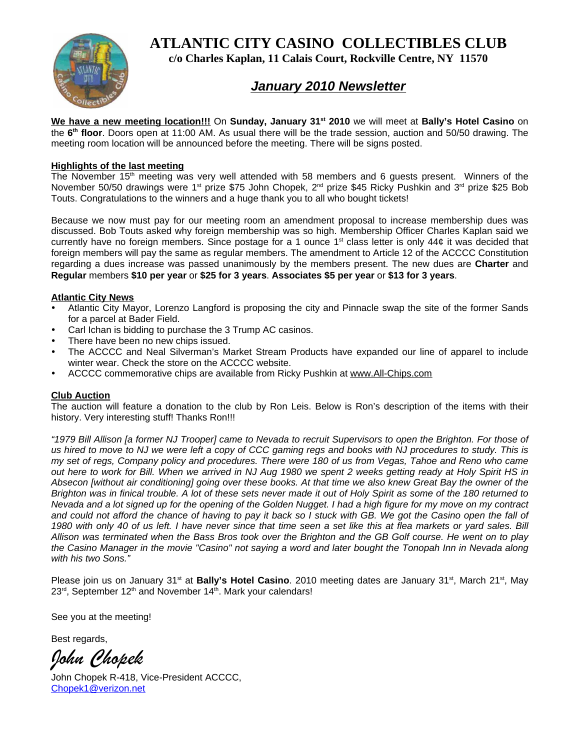**ATLANTIC CITY CASINO COLLECTIBLES CLUB**



**c/o Charles Kaplan, 11 Calais Court, Rockville Centre, NY 11570**

## *January 2010 Newsletter*

**We have a new meeting location!!!** On **Sunday, January 31st 2010** we will meet at **Bally's Hotel Casino** on the **6th floor**. Doors open at 11:00 AM. As usual there will be the trade session, auction and 50/50 drawing. The meeting room location will be announced before the meeting. There will be signs posted.

## **Highlights of the last meeting**

The November 15<sup>th</sup> meeting was very well attended with 58 members and 6 guests present. Winners of the November 50/50 drawings were 1<sup>st</sup> prize \$75 John Chopek, 2<sup>nd</sup> prize \$45 Ricky Pushkin and 3<sup>rd</sup> prize \$25 Bob Touts. Congratulations to the winners and a huge thank you to all who bought tickets!

Because we now must pay for our meeting room an amendment proposal to increase membership dues was discussed. Bob Touts asked why foreign membership was so high. Membership Officer Charles Kaplan said we currently have no foreign members. Since postage for a 1 ounce  $1<sup>st</sup>$  class letter is only 44 $\phi$  it was decided that foreign members will pay the same as regular members. The amendment to Article 12 of the ACCCC Constitution regarding a dues increase was passed unanimously by the members present. The new dues are **Charter** and **Regular** members **\$10 per year** or **\$25 for 3 years**. **Associates \$5 per year** or **\$13 for 3 years**.

## **Atlantic City News**

- Atlantic City Mayor, Lorenzo Langford is proposing the city and Pinnacle swap the site of the former Sands for a parcel at Bader Field.
- Carl Ichan is bidding to purchase the 3 Trump AC casinos.
- There have been no new chips issued.
- The ACCCC and Neal Silverman's Market Stream Products have expanded our line of apparel to include winter wear. Check the store on the ACCCC website.
- ACCCC commemorative chips are available from Ricky Pushkin at www.All-Chips.com

## **Club Auction**

The auction will feature a donation to the club by Ron Leis. Below is Ron's description of the items with their history. Very interesting stuff! Thanks Ron!!!

*"1979 Bill Allison [a former NJ Trooper] came to Nevada to recruit Supervisors to open the Brighton. For those of us hired to move to NJ we were left a copy of CCC gaming regs and books with NJ procedures to study. This is my set of regs, Company policy and procedures. There were 180 of us from Vegas, Tahoe and Reno who came out here to work for Bill. When we arrived in NJ Aug 1980 we spent 2 weeks getting ready at Holy Spirit HS in Absecon [without air conditioning] going over these books. At that time we also knew Great Bay the owner of the Brighton was in finical trouble. A lot of these sets never made it out of Holy Spirit as some of the 180 returned to Nevada and a lot signed up for the opening of the Golden Nugget. I had a high figure for my move on my contract and could not afford the chance of having to pay it back so I stuck with GB. We got the Casino open the fall of 1980 with only 40 of us left. I have never since that time seen a set like this at flea markets or yard sales. Bill Allison was terminated when the Bass Bros took over the Brighton and the GB Golf course. He went on to play the Casino Manager in the movie "Casino" not saying a word and later bought the Tonopah Inn in Nevada along with his two Sons."*

Please join us on January 31<sup>st</sup> at **Bally's Hotel Casino**. 2010 meeting dates are January 31<sup>st</sup>, March 21<sup>st</sup>, May  $23<sup>rd</sup>$ , September 12<sup>th</sup> and November 14<sup>th</sup>. Mark your calendars!

See you at the meeting!

Best regards,

*John Chopek*

John Chopek R-418, Vice-President ACCCC, Chopek1@verizon.net